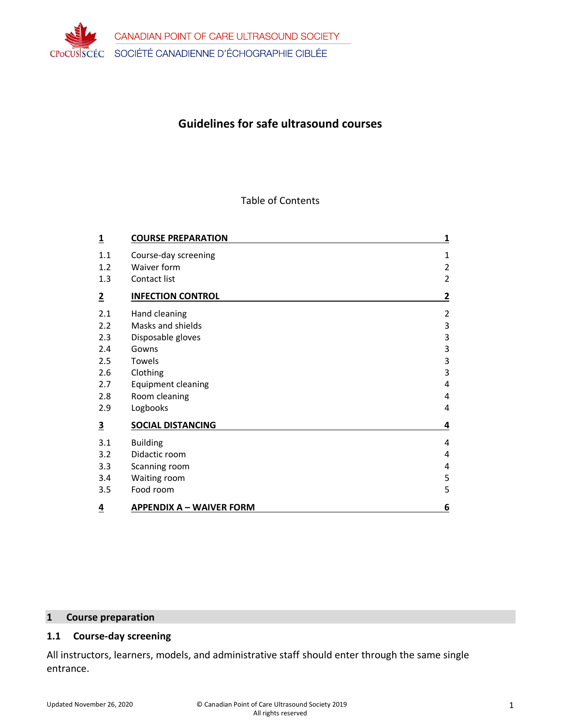

# **Guidelines for safe ultrasound courses**

#### Table of Contents

| 1                       | <b>COURSE PREPARATION</b>       | 1              |
|-------------------------|---------------------------------|----------------|
| 1.1                     | Course-day screening            | 1              |
| 1.2                     | Waiver form                     | $\overline{2}$ |
| 1.3                     | Contact list                    | $\overline{2}$ |
| 2                       | <b>INFECTION CONTROL</b>        | 2              |
| 2.1                     | Hand cleaning                   | $\overline{2}$ |
| 2.2                     | Masks and shields               | 3              |
| 2.3                     | Disposable gloves               | 3              |
| 2.4                     | Gowns                           | 3              |
| 2.5                     | Towels                          | 3              |
| 2.6                     | Clothing                        | 3              |
| 2.7                     | <b>Equipment cleaning</b>       | 4              |
| 2.8                     | Room cleaning                   | 4              |
| 2.9                     | Logbooks                        | 4              |
| $\overline{\mathbf{3}}$ | <b>SOCIAL DISTANCING</b>        | 4              |
| 3.1                     | <b>Building</b>                 | 4              |
| 3.2                     | Didactic room                   | 4              |
| 3.3                     | Scanning room                   | 4              |
| 3.4                     | Waiting room                    | 5              |
| 3.5                     | Food room                       | 5              |
| 4                       | <b>APPENDIX A - WAIVER FORM</b> | 6              |

# **1 Course preparation**

# **1.1 Course-day screening**

All instructors, learners, models, and administrative staff should enter through the same single entrance.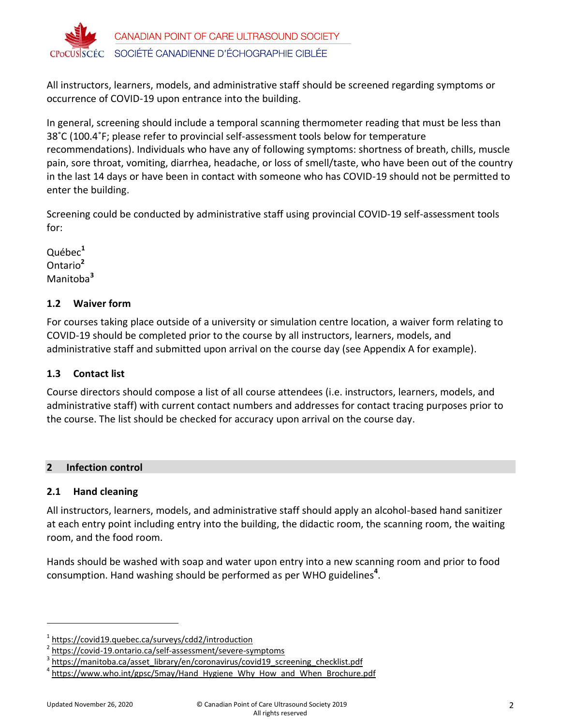

All instructors, learners, models, and administrative staff should be screened regarding symptoms or occurrence of COVID-19 upon entrance into the building.

In general, screening should include a temporal scanning thermometer reading that must be less than 38˚C (100.4˚F; please refer to provincial self-assessment tools below for temperature recommendations). Individuals who have any of following symptoms: shortness of breath, chills, muscle pain, sore throat, vomiting, diarrhea, headache, or loss of smell/taste, who have been out of the country in the last 14 days or have been in contact with someone who has COVID-19 should not be permitted to enter the building.

Screening could be conducted by administrative staff using provincial COVID-19 self-assessment tools for:

Québec**<sup>1</sup>** Ontario**<sup>2</sup>** Manitoba**<sup>3</sup>**

# **1.2 Waiver form**

For courses taking place outside of a university or simulation centre location, a waiver form relating to COVID-19 should be completed prior to the course by all instructors, learners, models, and administrative staff and submitted upon arrival on the course day (see Appendix A for example).

# **1.3 Contact list**

Course directors should compose a list of all course attendees (i.e. instructors, learners, models, and administrative staff) with current contact numbers and addresses for contact tracing purposes prior to the course. The list should be checked for accuracy upon arrival on the course day.

# **2 Infection control**

# **2.1 Hand cleaning**

All instructors, learners, models, and administrative staff should apply an alcohol-based hand sanitizer at each entry point including entry into the building, the didactic room, the scanning room, the waiting room, and the food room.

Hands should be washed with soap and water upon entry into a new scanning room and prior to food consumption. Hand washing should be performed as per WHO guidelines**<sup>4</sup>** .

<sup>1</sup> <https://covid19.quebec.ca/surveys/cdd2/introduction>

<sup>2</sup> <https://covid-19.ontario.ca/self-assessment/severe-symptoms>

<sup>3</sup> [https://manitoba.ca/asset\\_library/en/coronavirus/covid19\\_screening\\_checklist.pdf](https://manitoba.ca/asset_library/en/coronavirus/covid19_screening_checklist.pdf)

<sup>4</sup> [https://www.who.int/gpsc/5may/Hand\\_Hygiene\\_Why\\_How\\_and\\_When\\_Brochure.pdf](https://www.who.int/gpsc/5may/Hand_Hygiene_Why_How_and_When_Brochure.pdf)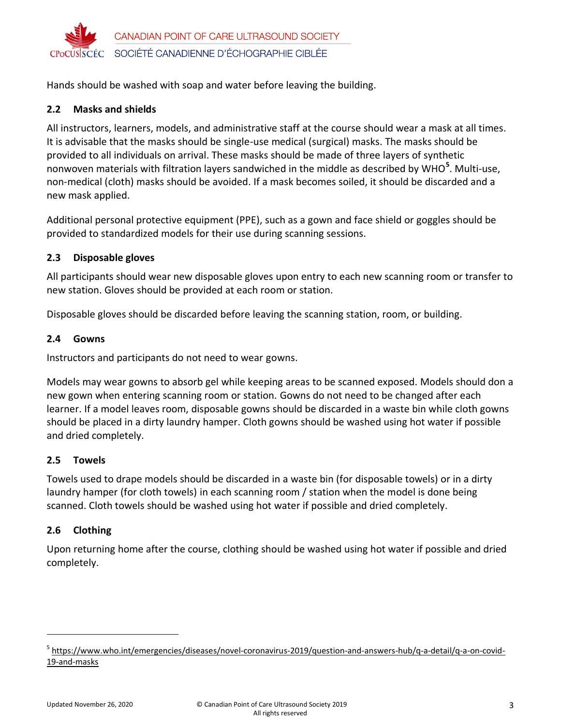

Hands should be washed with soap and water before leaving the building.

## **2.2 Masks and shields**

All instructors, learners, models, and administrative staff at the course should wear a mask at all times. It is advisable that the masks should be single-use medical (surgical) masks. The masks should be provided to all individuals on arrival. These masks should be made of three layers of synthetic nonwoven materials with filtration layers sandwiched in the middle as described by WHO**<sup>5</sup>** . Multi-use, non-medical (cloth) masks should be avoided. If a mask becomes soiled, it should be discarded and a new mask applied.

Additional personal protective equipment (PPE), such as a gown and face shield or goggles should be provided to standardized models for their use during scanning sessions.

## **2.3 Disposable gloves**

All participants should wear new disposable gloves upon entry to each new scanning room or transfer to new station. Gloves should be provided at each room or station.

Disposable gloves should be discarded before leaving the scanning station, room, or building.

### **2.4 Gowns**

Instructors and participants do not need to wear gowns.

Models may wear gowns to absorb gel while keeping areas to be scanned exposed. Models should don a new gown when entering scanning room or station. Gowns do not need to be changed after each learner. If a model leaves room, disposable gowns should be discarded in a waste bin while cloth gowns should be placed in a dirty laundry hamper. Cloth gowns should be washed using hot water if possible and dried completely.

### **2.5 Towels**

Towels used to drape models should be discarded in a waste bin (for disposable towels) or in a dirty laundry hamper (for cloth towels) in each scanning room / station when the model is done being scanned. Cloth towels should be washed using hot water if possible and dried completely.

# **2.6 Clothing**

Upon returning home after the course, clothing should be washed using hot water if possible and dried completely.

<sup>&</sup>lt;sup>5</sup> [https://www.who.int/emergencies/diseases/novel-coronavirus-2019/question-and-answers-hub/q-a-detail/q-a-on-covid-](https://www.who.int/emergencies/diseases/novel-coronavirus-2019/question-and-answers-hub/q-a-detail/q-a-on-covid-19-and-masks)[19-and-masks](https://www.who.int/emergencies/diseases/novel-coronavirus-2019/question-and-answers-hub/q-a-detail/q-a-on-covid-19-and-masks)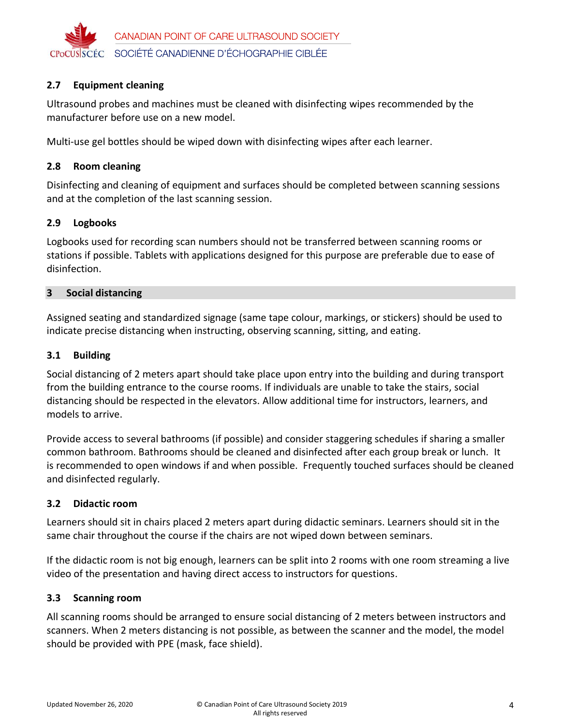

# **2.7 Equipment cleaning**

Ultrasound probes and machines must be cleaned with disinfecting wipes recommended by the manufacturer before use on a new model.

Multi-use gel bottles should be wiped down with disinfecting wipes after each learner.

#### **2.8 Room cleaning**

Disinfecting and cleaning of equipment and surfaces should be completed between scanning sessions and at the completion of the last scanning session.

#### **2.9 Logbooks**

Logbooks used for recording scan numbers should not be transferred between scanning rooms or stations if possible. Tablets with applications designed for this purpose are preferable due to ease of disinfection.

#### **3 Social distancing**

Assigned seating and standardized signage (same tape colour, markings, or stickers) should be used to indicate precise distancing when instructing, observing scanning, sitting, and eating.

### **3.1 Building**

Social distancing of 2 meters apart should take place upon entry into the building and during transport from the building entrance to the course rooms. If individuals are unable to take the stairs, social distancing should be respected in the elevators. Allow additional time for instructors, learners, and models to arrive.

Provide access to several bathrooms (if possible) and consider staggering schedules if sharing a smaller common bathroom. Bathrooms should be cleaned and disinfected after each group break or lunch. It is recommended to open windows if and when possible. Frequently touched surfaces should be cleaned and disinfected regularly.

### **3.2 Didactic room**

Learners should sit in chairs placed 2 meters apart during didactic seminars. Learners should sit in the same chair throughout the course if the chairs are not wiped down between seminars.

If the didactic room is not big enough, learners can be split into 2 rooms with one room streaming a live video of the presentation and having direct access to instructors for questions.

### **3.3 Scanning room**

All scanning rooms should be arranged to ensure social distancing of 2 meters between instructors and scanners. When 2 meters distancing is not possible, as between the scanner and the model, the model should be provided with PPE (mask, face shield).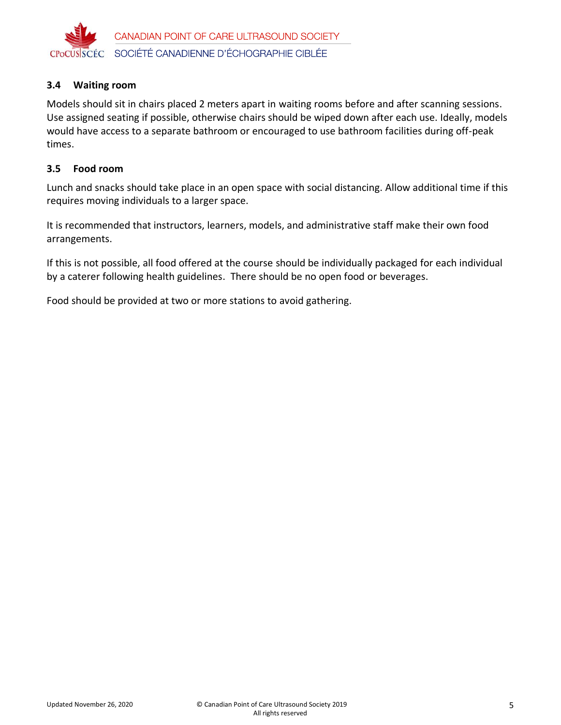

### **3.4 Waiting room**

Models should sit in chairs placed 2 meters apart in waiting rooms before and after scanning sessions. Use assigned seating if possible, otherwise chairs should be wiped down after each use. Ideally, models would have access to a separate bathroom or encouraged to use bathroom facilities during off-peak times.

#### **3.5 Food room**

Lunch and snacks should take place in an open space with social distancing. Allow additional time if this requires moving individuals to a larger space.

It is recommended that instructors, learners, models, and administrative staff make their own food arrangements.

If this is not possible, all food offered at the course should be individually packaged for each individual by a caterer following health guidelines. There should be no open food or beverages.

Food should be provided at two or more stations to avoid gathering.